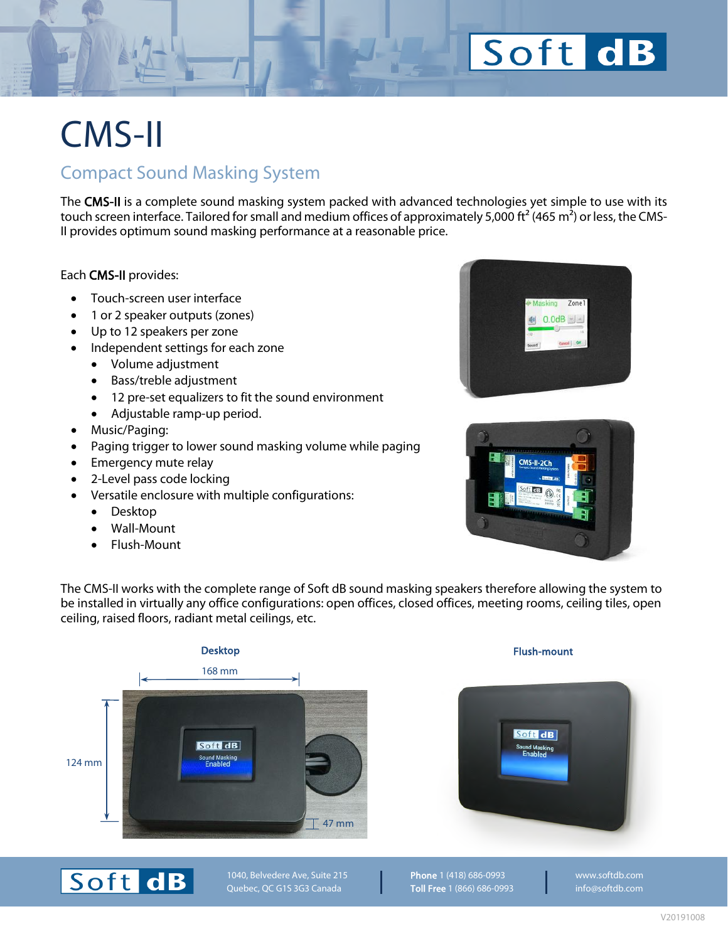## Soft dB

## CMS-II

### Compact Sound Masking System

The CMS-II is a complete sound masking system packed with advanced technologies yet simple to use with its touch screen interface. Tailored for small and medium offices of approximately 5,000 ft<sup>2</sup> (465 m<sup>2</sup>) or less, the CMS-II provides optimum sound masking performance at a reasonable price.

Each CMS-II provides:

- Touch-screen user interface
- 1 or 2 speaker outputs (zones)
- Up to 12 speakers per zone
- Independent settings for each zone
	- Volume adjustment
	- Bass/treble adjustment
	- 12 pre-set equalizers to fit the sound environment
	- Adjustable ramp-up period.
- Music/Paging:
- Paging trigger to lower sound masking volume while paging
- Emergency mute relay
- 2-Level pass code locking
- Versatile enclosure with multiple configurations:
	- Desktop
	- Wall-Mount
	- Flush-Mount





The CMS-II works with the complete range of Soft dB sound masking speakers therefore allowing the system to be installed in virtually any office configurations: open offices, closed offices, meeting rooms, ceiling tiles, open ceiling, raised floors, radiant metal ceilings, etc.







1040, Belvedere Ave, Suite 215 Quebec, QC G1S 3G3 Canada

Phone 1 (418) 686-0993 Toll Free 1 (866) 686-0993 [www.softdb.com](https://www.softdb.com/) [info@softdb.com](mailto:info@softdb.com)